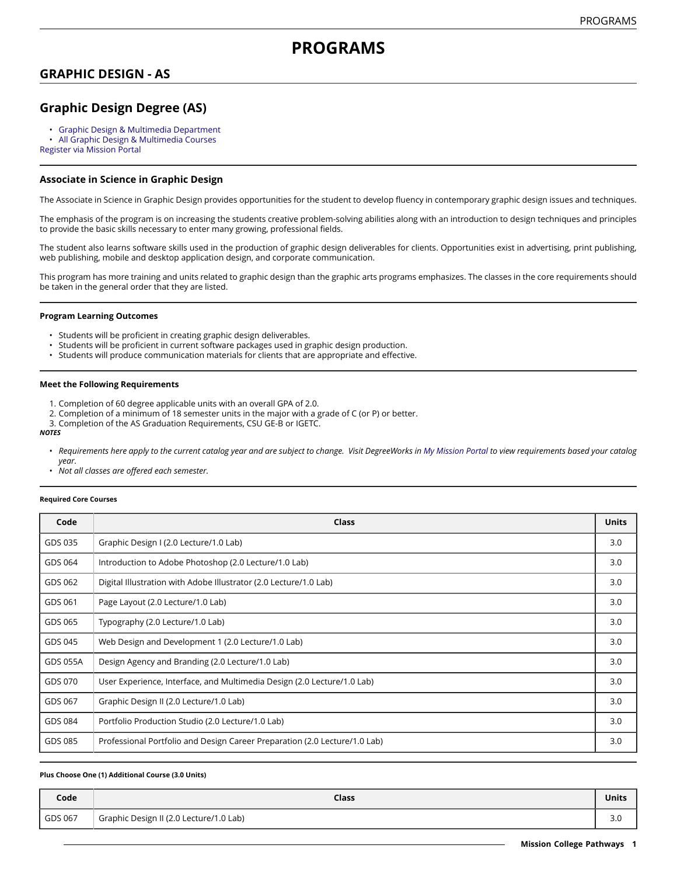# **PROGRAMS**

### **GRAPHIC DESIGN - AS**

## **Graphic Design Degree (AS)**

- Graphic Design & Multimedia [Department](https://missioncollege.edu/depts/graphic-design/)
- All Graphic Design & [Multimedia](http://majors.missioncollege.edu/current/courses/gds.html) Courses

[Register via Mission Portal](https://web.wvm.edu/)

### **Associate in Science in Graphic Design**

The Associate in Science in Graphic Design provides opportunities for the student to develop fluency in contemporary graphic design issues and techniques.

The emphasis of the program is on increasing the students creative problem-solving abilities along with an introduction to design techniques and principles to provide the basic skills necessary to enter many growing, professional fields.

The student also learns software skills used in the production of graphic design deliverables for clients. Opportunities exist in advertising, print publishing, web publishing, mobile and desktop application design, and corporate communication.

This program has more training and units related to graphic design than the graphic arts programs emphasizes. The classes in the core requirements should be taken in the general order that they are listed.

### **Program Learning Outcomes**

- Students will be proficient in creating graphic design deliverables.
- Students will be proficient in current software packages used in graphic design production.
- Students will produce communication materials for clients that are appropriate and effective.

#### **Meet the Following Requirements**

- 1. Completion of 60 degree applicable units with an overall GPA of 2.0.
- 2. Completion of a minimum of 18 semester units in the major with a grade of C (or P) or better.
- 3. Completion of the AS Graduation Requirements, CSU GE-B or IGETC.

#### *NOTES*

- Requirements here apply to the current catalog year and are subject to change. Visit DegreeWorks in [My Mission Portal](https://wvmccd.sharepoint.com/sites/MCPortal) to view requirements based your catalog *year.*
- *Not all classes are offered each semester.*

#### **Required Core Courses**

| Code     | <b>Class</b>                                                               | <b>Units</b> |
|----------|----------------------------------------------------------------------------|--------------|
| GDS 035  | Graphic Design I (2.0 Lecture/1.0 Lab)                                     | 3.0          |
| GDS 064  | Introduction to Adobe Photoshop (2.0 Lecture/1.0 Lab)                      | 3.0          |
| GDS 062  | Digital Illustration with Adobe Illustrator (2.0 Lecture/1.0 Lab)          | 3.0          |
| GDS 061  | Page Layout (2.0 Lecture/1.0 Lab)                                          | 3.0          |
| GDS 065  | Typography (2.0 Lecture/1.0 Lab)                                           | 3.0          |
| GDS 045  | Web Design and Development 1 (2.0 Lecture/1.0 Lab)                         | 3.0          |
| GDS 055A | Design Agency and Branding (2.0 Lecture/1.0 Lab)                           | 3.0          |
| GDS 070  | User Experience, Interface, and Multimedia Design (2.0 Lecture/1.0 Lab)    | 3.0          |
| GDS 067  | Graphic Design II (2.0 Lecture/1.0 Lab)                                    | 3.0          |
| GDS 084  | Portfolio Production Studio (2.0 Lecture/1.0 Lab)                          | 3.0          |
| GDS 085  | Professional Portfolio and Design Career Preparation (2.0 Lecture/1.0 Lab) | 3.0          |

#### **Plus Choose One (1) Additional Course (3.0 Units)**

| Code    | <b>Class</b>                            | <b>Units</b>         |
|---------|-----------------------------------------|----------------------|
| GDS 067 | Graphic Design II (2.0 Lecture/1.0 Lab) | $\sim$ $\sim$<br>J.U |